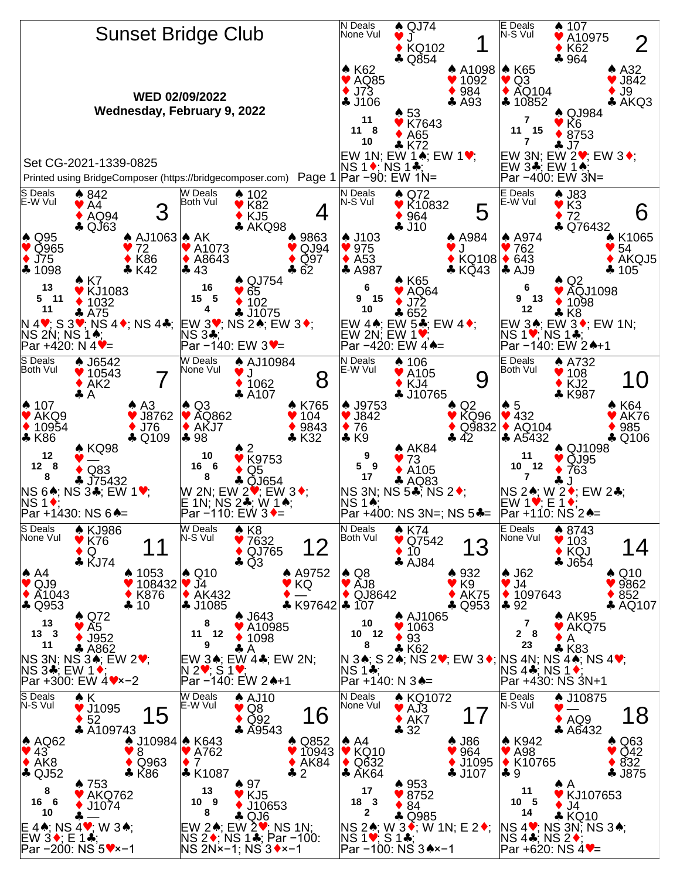